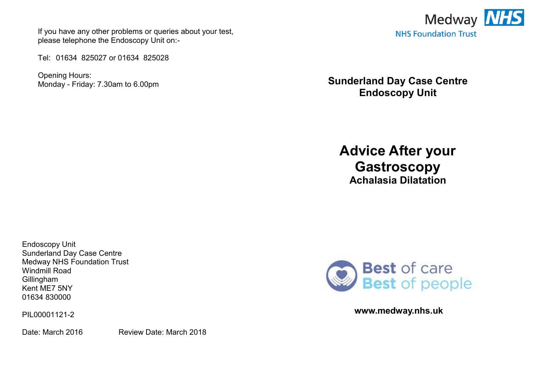If you have any other problems or queries about your test, please telephone the Endoscopy Unit on:-

Tel: 01634 825027 or 01634 825028

Opening Hours: Monday - Friday: 7.30am to 6.00pm



**Sunderland Day Case Centre Endoscopy Unit** 

**Advice After your Gastroscopy Achalasia Dilatation** 

Endoscopy Unit Sunderland Day Case Centre Medway NHS Foundation Trust Windmill Road **Gillingham** Kent ME7 5NY 01634 830000

PIL00001121-2

Date: March 2016 Review Date: March 2018



**www.medway.nhs.uk**